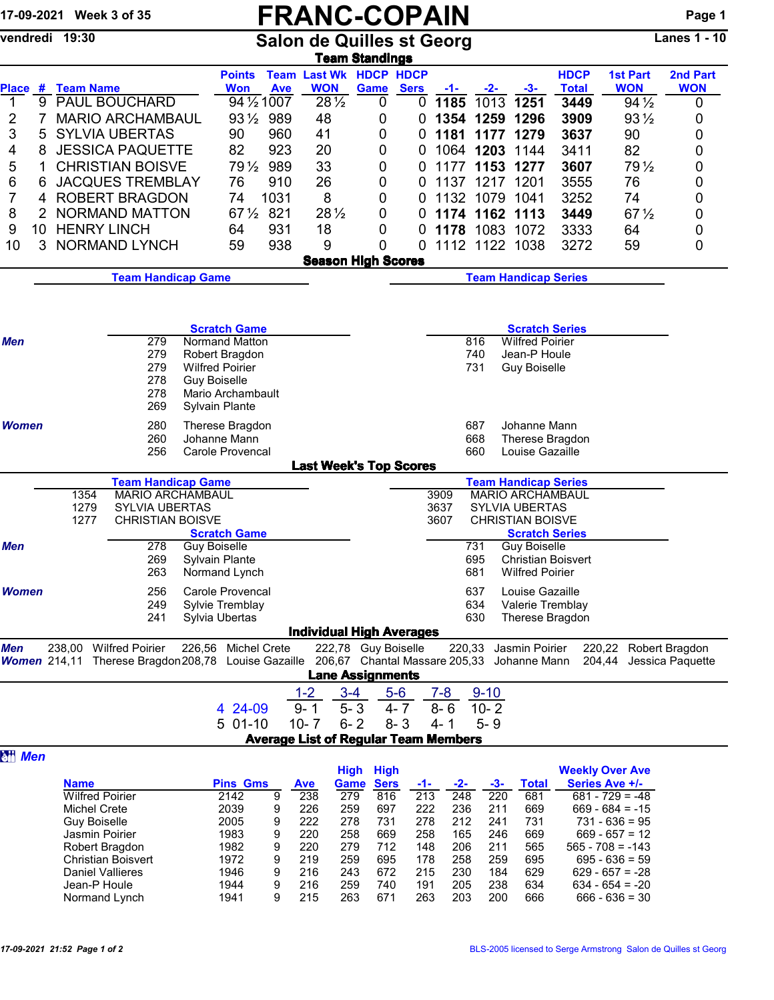## 17-09-2021 Week 3 of 35 **FRANC-COPAIN** Page 1

| vendredi 19:30<br><b>Salon de Quilles st Georg</b><br><b>Team Standings</b> |                                       |                                                                                                                          |  |                                          |            |                                             |                            |                  |              | <b>Lanes 1 - 10</b> |                         |                             |                                       |                        |
|-----------------------------------------------------------------------------|---------------------------------------|--------------------------------------------------------------------------------------------------------------------------|--|------------------------------------------|------------|---------------------------------------------|----------------------------|------------------|--------------|---------------------|-------------------------|-----------------------------|---------------------------------------|------------------------|
| <b>Place</b>                                                                | # Team Name                           |                                                                                                                          |  | <b>Points</b><br><b>Won</b>              | <b>Ave</b> | <b>Team Last Wk HDCP HDCP</b><br><b>WON</b> | Game                       | <b>Sers</b>      | -1-1         | $-2-$               | $-3-$                   | <b>HDCP</b><br><b>Total</b> | <b>1st Part</b><br><b>WON</b>         | 2nd Part<br><b>WON</b> |
| $\overline{1}$<br>9                                                         |                                       | <b>PAUL BOUCHARD</b>                                                                                                     |  | 94 1/2 1007                              |            | $28\frac{1}{2}$                             | 0                          | 0                | 1185         | 1013                | 1251                    | 3449                        | $94\frac{1}{2}$                       | 0                      |
| 2<br>7                                                                      |                                       | <b>MARIO ARCHAMBAUL</b>                                                                                                  |  | 931/2 989                                |            | 48                                          | 0                          | 0                |              | 1354 1259 1296      |                         | 3909                        | $93\frac{1}{2}$                       | 0                      |
| 3<br>5                                                                      |                                       | <b>SYLVIA UBERTAS</b>                                                                                                    |  | 90                                       | 960        | 41                                          | 0                          | 0                |              | 1181 1177           | 1279                    | 3637                        | 90                                    | 0                      |
| 4<br>8                                                                      |                                       | <b>JESSICA PAQUETTE</b>                                                                                                  |  | 82                                       | 923        | 20                                          | 0                          | 0                |              | 1064 1203 1144      |                         | 3411                        | 82                                    | 0                      |
| 5<br>1                                                                      |                                       | <b>CHRISTIAN BOISVE</b>                                                                                                  |  | $79\frac{1}{2}$                          | 989        | 33                                          | 0                          | 0                | 1177         |                     | 1153 1277               | 3607                        | 79 $\frac{1}{2}$                      | 0                      |
| 6<br>6                                                                      |                                       | <b>JACQUES TREMBLAY</b>                                                                                                  |  | 76                                       | 910        | 26                                          | 0                          | 0                |              | 1137 1217           | 1201                    | 3555                        | 76                                    | 0                      |
| 7<br>4                                                                      |                                       | <b>ROBERT BRAGDON</b>                                                                                                    |  | 74                                       | 1031       | 8                                           | 0                          | 0                |              | 1132 1079           | 1041                    | 3252                        | 74                                    | 0                      |
| 8<br>2                                                                      |                                       | <b>NORMAND MATTON</b>                                                                                                    |  | 67 1/2 821                               |            | $28\frac{1}{2}$                             | 0                          | 0                |              | 1174 1162 1113      |                         | 3449                        | $67\frac{1}{2}$                       | 0                      |
| 9<br>10                                                                     | <b>HENRY LINCH</b>                    |                                                                                                                          |  | 64                                       | 931        | 18                                          | 0                          | 0                | 1178         | 1083 1072           |                         | 3333                        | 64                                    | 0                      |
| 10<br>3                                                                     |                                       | <b>NORMAND LYNCH</b>                                                                                                     |  | 59                                       | 938        | 9                                           | 0                          | $\mathbf 0$      |              | 1112 1122 1038      |                         | 3272                        | 59                                    | 0                      |
|                                                                             |                                       |                                                                                                                          |  |                                          |            | <b>Season High Scores</b>                   |                            |                  |              |                     |                         |                             |                                       |                        |
|                                                                             |                                       | <b>Team Handicap Game</b>                                                                                                |  |                                          |            |                                             |                            |                  |              |                     |                         | <b>Team Handicap Series</b> |                                       |                        |
|                                                                             |                                       |                                                                                                                          |  | <b>Scratch Game</b>                      |            |                                             |                            |                  |              |                     | <b>Scratch Series</b>   |                             |                                       |                        |
| <b>Men</b>                                                                  |                                       | 279                                                                                                                      |  | Normand Matton                           |            |                                             |                            |                  |              | 816                 | <b>Wilfred Poirier</b>  |                             |                                       |                        |
|                                                                             |                                       | 279                                                                                                                      |  | Robert Bragdon                           |            |                                             |                            |                  |              | 740                 | Jean-P Houle            |                             |                                       |                        |
|                                                                             |                                       | 279                                                                                                                      |  | <b>Wilfred Poirier</b>                   |            |                                             |                            |                  |              | 731                 | <b>Guy Boiselle</b>     |                             |                                       |                        |
|                                                                             |                                       | 278<br>278                                                                                                               |  | <b>Guy Boiselle</b><br>Mario Archambault |            |                                             |                            |                  |              |                     |                         |                             |                                       |                        |
|                                                                             |                                       | 269                                                                                                                      |  | Sylvain Plante                           |            |                                             |                            |                  |              |                     |                         |                             |                                       |                        |
| <b>Women</b>                                                                |                                       | 280                                                                                                                      |  | Therese Bragdon                          |            |                                             |                            |                  |              | 687                 | Johanne Mann            |                             |                                       |                        |
|                                                                             |                                       | 260                                                                                                                      |  | Johanne Mann                             |            |                                             |                            |                  |              | 668                 |                         | Therese Bragdon             |                                       |                        |
|                                                                             |                                       | 256                                                                                                                      |  | Carole Provencal                         |            |                                             |                            |                  |              | 660                 | Louise Gazaille         |                             |                                       |                        |
|                                                                             |                                       |                                                                                                                          |  |                                          |            | <b>Last Week's Top Scores</b>               |                            |                  |              |                     |                         |                             |                                       |                        |
|                                                                             |                                       | <b>Team Handicap Game</b>                                                                                                |  |                                          |            |                                             |                            |                  |              |                     |                         | <b>Team Handicap Series</b> |                                       |                        |
|                                                                             | 1354<br>1279                          | <b>MARIO ARCHAMBAUL</b><br>SYLVIA UBERTAS                                                                                |  |                                          |            |                                             |                            |                  | 3909<br>3637 |                     | <b>SYLVIA UBERTAS</b>   | <b>MARIO ARCHAMBAUL</b>     |                                       |                        |
|                                                                             | 1277                                  | <b>CHRISTIAN BOISVE</b>                                                                                                  |  |                                          |            |                                             |                            |                  | 3607         |                     | <b>CHRISTIAN BOISVE</b> |                             |                                       |                        |
|                                                                             |                                       |                                                                                                                          |  | <b>Scratch Game</b>                      |            |                                             |                            |                  |              |                     | <b>Scratch Series</b>   |                             |                                       |                        |
| <b>Men</b>                                                                  |                                       | 278                                                                                                                      |  | <b>Guy Boiselle</b>                      |            |                                             |                            |                  |              | 731                 | <b>Guy Boiselle</b>     |                             |                                       |                        |
|                                                                             |                                       | 269                                                                                                                      |  | Sylvain Plante                           |            |                                             |                            |                  |              | 695                 |                         | <b>Christian Boisvert</b>   |                                       |                        |
|                                                                             |                                       | 263                                                                                                                      |  | Normand Lynch                            |            |                                             |                            |                  |              | 681                 | <b>Wilfred Poirier</b>  |                             |                                       |                        |
| Women                                                                       |                                       | 256                                                                                                                      |  | Carole Provencal                         |            |                                             |                            |                  |              | 637                 | Louise Gazaille         |                             |                                       |                        |
|                                                                             |                                       | 249                                                                                                                      |  | Sylvie Tremblay                          |            |                                             |                            |                  |              | 634                 |                         | Valerie Tremblay            |                                       |                        |
|                                                                             |                                       | 241                                                                                                                      |  | Sylvia Ubertas                           |            |                                             |                            |                  |              | 630                 |                         | Therese Bragdon             |                                       |                        |
|                                                                             |                                       |                                                                                                                          |  |                                          |            | <b>Individual High Averages</b>             |                            |                  |              |                     |                         |                             |                                       |                        |
| Men                                                                         |                                       | 238,00 Wilfred Poirier<br>Women 214,11 Therese Bragdon 208,78 Louise Gazaille 206,67 Chantal Massare 205,33 Johanne Mann |  | 226,56 Michel Crete                      |            | <b>Lane Assignments</b>                     | 222,78 Guy Boiselle        |                  | 220,33       |                     | Jasmin Poirier          |                             | 220,22 Robert Bragdon<br>204,44       | Jessica Paquette       |
|                                                                             |                                       |                                                                                                                          |  |                                          |            | $1 - 2$                                     | $3 - 4$                    | $5-6$            | $7 - 8$      | $9 - 10$            |                         |                             |                                       |                        |
|                                                                             |                                       |                                                                                                                          |  | 4 24-09                                  |            | $9 - 1$                                     | $5 - 3$                    | $4 - 7$          | $8 - 6$      | $10 - 2$            |                         |                             |                                       |                        |
|                                                                             |                                       |                                                                                                                          |  | $501-10$                                 |            | $10 - 7$                                    | $6 - 2$                    | $8 - 3$          | $4 - 1$      | $5 - 9$             |                         |                             |                                       |                        |
| <b>Men</b>                                                                  |                                       |                                                                                                                          |  |                                          |            | <b>Average List of Regular Team Members</b> |                            |                  |              |                     |                         |                             |                                       |                        |
|                                                                             |                                       |                                                                                                                          |  |                                          |            |                                             | <b>High</b><br><b>High</b> |                  |              |                     |                         |                             | <b>Weekly Over Ave</b>                |                        |
|                                                                             | <b>Name</b>                           |                                                                                                                          |  | <b>Pins Gms</b>                          |            | <b>Ave</b>                                  | <b>Sers</b><br><b>Game</b> | $-1-$            | $-2-$        | $-3-$               | <b>Total</b>            |                             | Series Ave +/-                        |                        |
|                                                                             | <b>Wilfred Poirier</b>                |                                                                                                                          |  | 2142                                     | 9          | 238                                         | 279<br>816                 | $\overline{213}$ | 248          | $\overline{220}$    | 681                     |                             | $681 - 729 = -48$                     |                        |
|                                                                             | <b>Michel Crete</b>                   |                                                                                                                          |  | 2039                                     | 9          | 226                                         | 697<br>259                 | 222<br>278       | 236<br>212   | 211<br>241          | 669<br>731              |                             | $669 - 684 = -15$<br>$731 - 636 = 95$ |                        |
|                                                                             | <b>Guy Boiselle</b><br>Jasmin Poirier |                                                                                                                          |  | 2005<br>1983                             | 9<br>9     | 222<br>220                                  | 278<br>731<br>258<br>669   | 258              | 165          | 246                 | 669                     |                             | $669 - 657 = 12$                      |                        |
|                                                                             | Robert Bragdon                        |                                                                                                                          |  | 1982                                     | 9          | 220                                         | 279<br>712                 | 148              | 206          | 211                 | 565                     |                             | $565 - 708 = -143$                    |                        |
|                                                                             |                                       | <b>Christian Boisvert</b>                                                                                                |  | 1972                                     | 9          | 219                                         | 259<br>695                 | 178              | 258          | 259                 | 695                     |                             | $695 - 636 = 59$                      |                        |
|                                                                             | <b>Daniel Vallieres</b>               |                                                                                                                          |  | 1946                                     | 9          | 216                                         | 243<br>672                 | 215              | 230          | 184                 | 629                     |                             | $629 - 657 = -28$                     |                        |
|                                                                             | Jean-P Houle                          |                                                                                                                          |  | 1944                                     | 9          | 216                                         | 259<br>740                 | 191              | 205          | 238                 | 634                     |                             | $634 - 654 = -20$                     |                        |
|                                                                             |                                       |                                                                                                                          |  |                                          |            |                                             |                            |                  |              |                     |                         |                             | $666 - 636 = 30$                      |                        |
|                                                                             | Normand Lynch                         |                                                                                                                          |  | 1941                                     | 9          | 215                                         | 263<br>671                 | 263              | 203          | 200                 | 666                     |                             |                                       |                        |